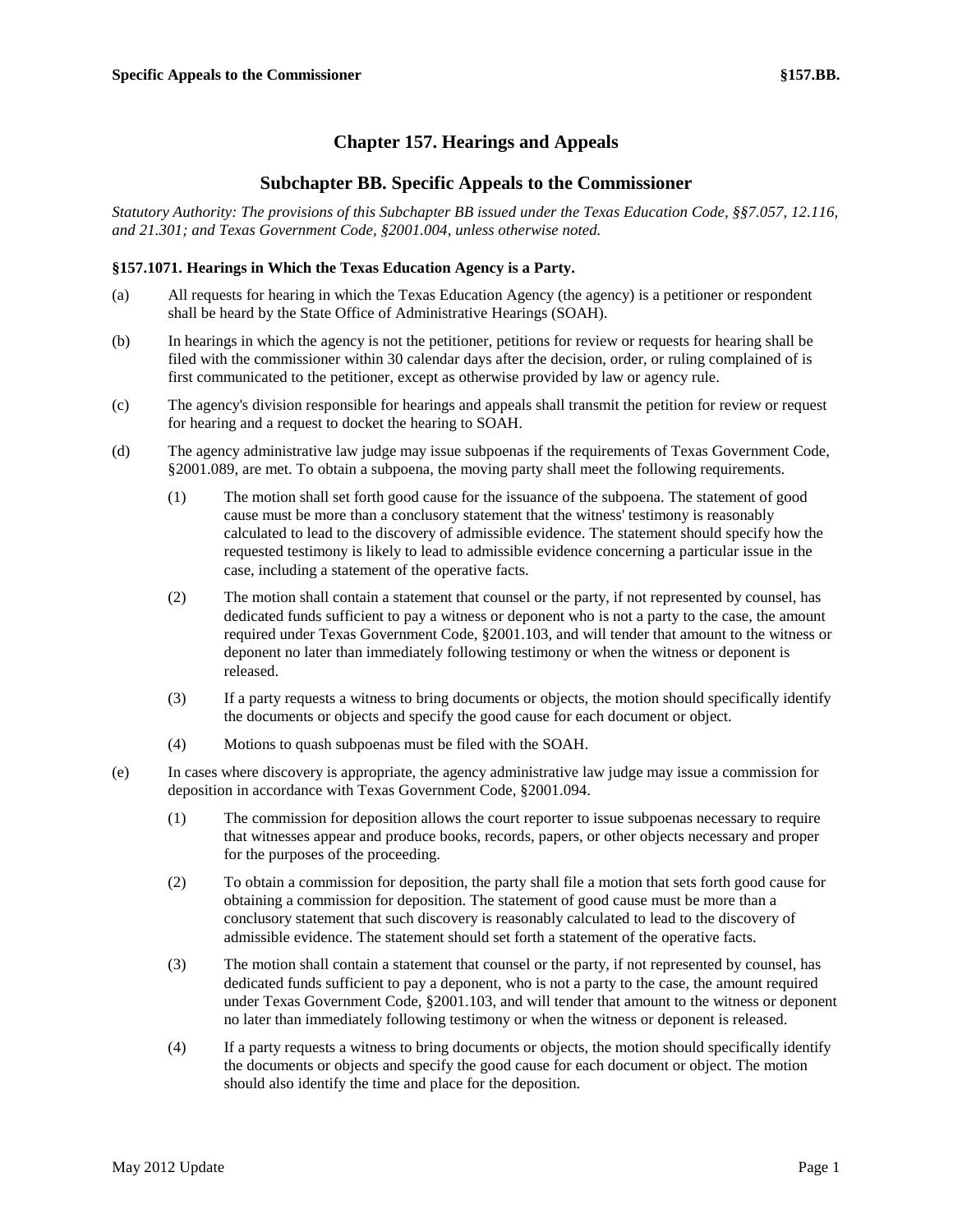# **Chapter 157. Hearings and Appeals**

# **Subchapter BB. Specific Appeals to the Commissioner**

*Statutory Authority: The provisions of this Subchapter BB issued under the Texas Education Code, §§7.057, 12.116, and 21.301; and Texas Government Code, §2001.004, unless otherwise noted.*

## **§157.1071. Hearings in Which the Texas Education Agency is a Party.**

- (a) All requests for hearing in which the Texas Education Agency (the agency) is a petitioner or respondent shall be heard by the State Office of Administrative Hearings (SOAH).
- (b) In hearings in which the agency is not the petitioner, petitions for review or requests for hearing shall be filed with the commissioner within 30 calendar days after the decision, order, or ruling complained of is first communicated to the petitioner, except as otherwise provided by law or agency rule.
- (c) The agency's division responsible for hearings and appeals shall transmit the petition for review or request for hearing and a request to docket the hearing to SOAH.
- (d) The agency administrative law judge may issue subpoenas if the requirements of Texas Government Code, §2001.089, are met. To obtain a subpoena, the moving party shall meet the following requirements.
	- (1) The motion shall set forth good cause for the issuance of the subpoena. The statement of good cause must be more than a conclusory statement that the witness' testimony is reasonably calculated to lead to the discovery of admissible evidence. The statement should specify how the requested testimony is likely to lead to admissible evidence concerning a particular issue in the case, including a statement of the operative facts.
	- (2) The motion shall contain a statement that counsel or the party, if not represented by counsel, has dedicated funds sufficient to pay a witness or deponent who is not a party to the case, the amount required under Texas Government Code, §2001.103, and will tender that amount to the witness or deponent no later than immediately following testimony or when the witness or deponent is released.
	- (3) If a party requests a witness to bring documents or objects, the motion should specifically identify the documents or objects and specify the good cause for each document or object.
	- (4) Motions to quash subpoenas must be filed with the SOAH.
- (e) In cases where discovery is appropriate, the agency administrative law judge may issue a commission for deposition in accordance with Texas Government Code, §2001.094.
	- (1) The commission for deposition allows the court reporter to issue subpoenas necessary to require that witnesses appear and produce books, records, papers, or other objects necessary and proper for the purposes of the proceeding.
	- (2) To obtain a commission for deposition, the party shall file a motion that sets forth good cause for obtaining a commission for deposition. The statement of good cause must be more than a conclusory statement that such discovery is reasonably calculated to lead to the discovery of admissible evidence. The statement should set forth a statement of the operative facts.
	- (3) The motion shall contain a statement that counsel or the party, if not represented by counsel, has dedicated funds sufficient to pay a deponent, who is not a party to the case, the amount required under Texas Government Code, §2001.103, and will tender that amount to the witness or deponent no later than immediately following testimony or when the witness or deponent is released.
	- (4) If a party requests a witness to bring documents or objects, the motion should specifically identify the documents or objects and specify the good cause for each document or object. The motion should also identify the time and place for the deposition.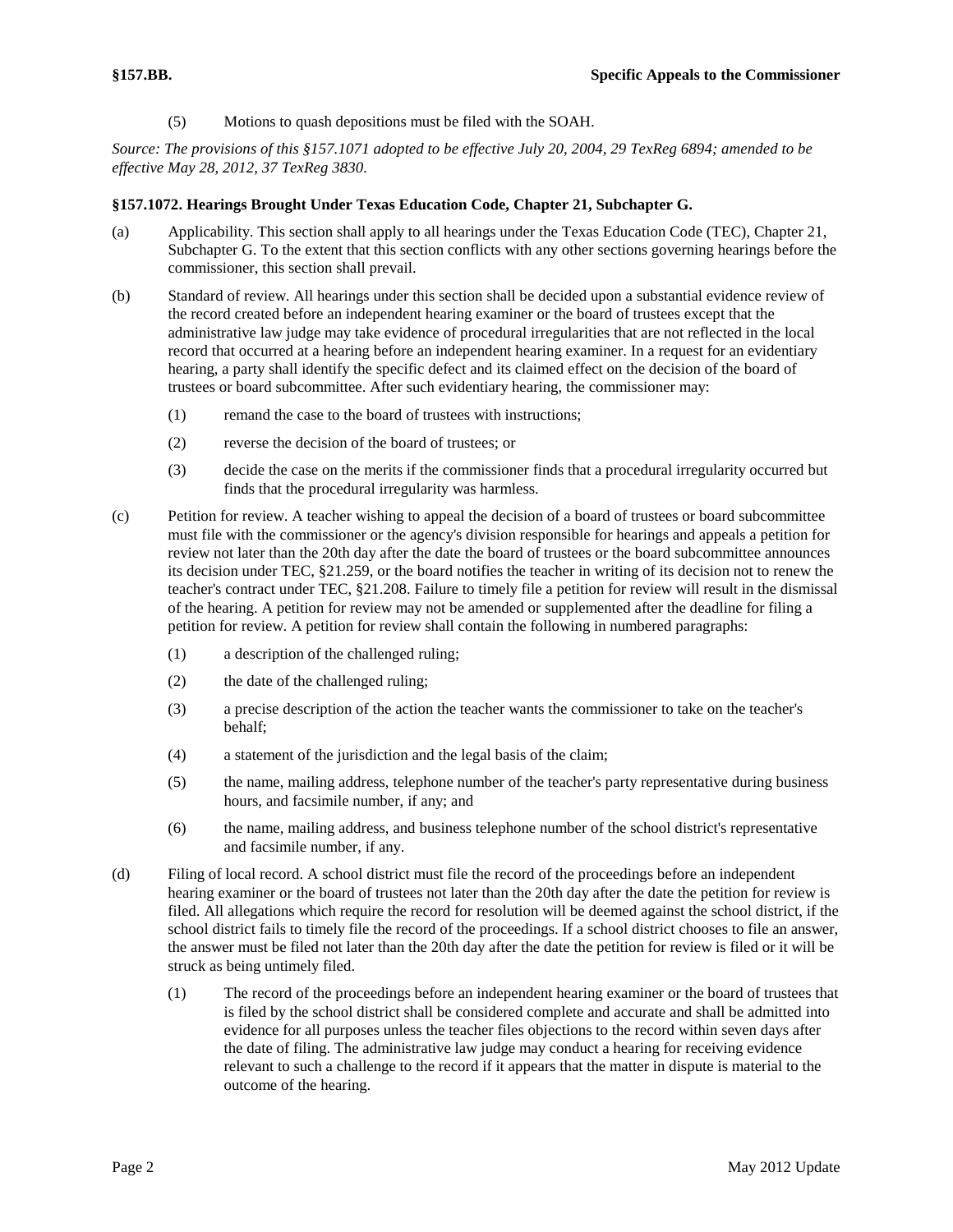(5) Motions to quash depositions must be filed with the SOAH.

*Source: The provisions of this §157.1071 adopted to be effective July 20, 2004, 29 TexReg 6894; amended to be effective May 28, 2012, 37 TexReg 3830.*

### **§157.1072. Hearings Brought Under Texas Education Code, Chapter 21, Subchapter G.**

- (a) Applicability. This section shall apply to all hearings under the Texas Education Code (TEC), Chapter 21, Subchapter G. To the extent that this section conflicts with any other sections governing hearings before the commissioner, this section shall prevail.
- (b) Standard of review. All hearings under this section shall be decided upon a substantial evidence review of the record created before an independent hearing examiner or the board of trustees except that the administrative law judge may take evidence of procedural irregularities that are not reflected in the local record that occurred at a hearing before an independent hearing examiner. In a request for an evidentiary hearing, a party shall identify the specific defect and its claimed effect on the decision of the board of trustees or board subcommittee. After such evidentiary hearing, the commissioner may:
	- (1) remand the case to the board of trustees with instructions;
	- (2) reverse the decision of the board of trustees; or
	- (3) decide the case on the merits if the commissioner finds that a procedural irregularity occurred but finds that the procedural irregularity was harmless.
- (c) Petition for review. A teacher wishing to appeal the decision of a board of trustees or board subcommittee must file with the commissioner or the agency's division responsible for hearings and appeals a petition for review not later than the 20th day after the date the board of trustees or the board subcommittee announces its decision under TEC, §21.259, or the board notifies the teacher in writing of its decision not to renew the teacher's contract under TEC, §21.208. Failure to timely file a petition for review will result in the dismissal of the hearing. A petition for review may not be amended or supplemented after the deadline for filing a petition for review. A petition for review shall contain the following in numbered paragraphs:
	- (1) a description of the challenged ruling;
	- (2) the date of the challenged ruling;
	- (3) a precise description of the action the teacher wants the commissioner to take on the teacher's behalf;
	- (4) a statement of the jurisdiction and the legal basis of the claim;
	- (5) the name, mailing address, telephone number of the teacher's party representative during business hours, and facsimile number, if any; and
	- (6) the name, mailing address, and business telephone number of the school district's representative and facsimile number, if any.
- (d) Filing of local record. A school district must file the record of the proceedings before an independent hearing examiner or the board of trustees not later than the 20th day after the date the petition for review is filed. All allegations which require the record for resolution will be deemed against the school district, if the school district fails to timely file the record of the proceedings. If a school district chooses to file an answer, the answer must be filed not later than the 20th day after the date the petition for review is filed or it will be struck as being untimely filed.
	- (1) The record of the proceedings before an independent hearing examiner or the board of trustees that is filed by the school district shall be considered complete and accurate and shall be admitted into evidence for all purposes unless the teacher files objections to the record within seven days after the date of filing. The administrative law judge may conduct a hearing for receiving evidence relevant to such a challenge to the record if it appears that the matter in dispute is material to the outcome of the hearing.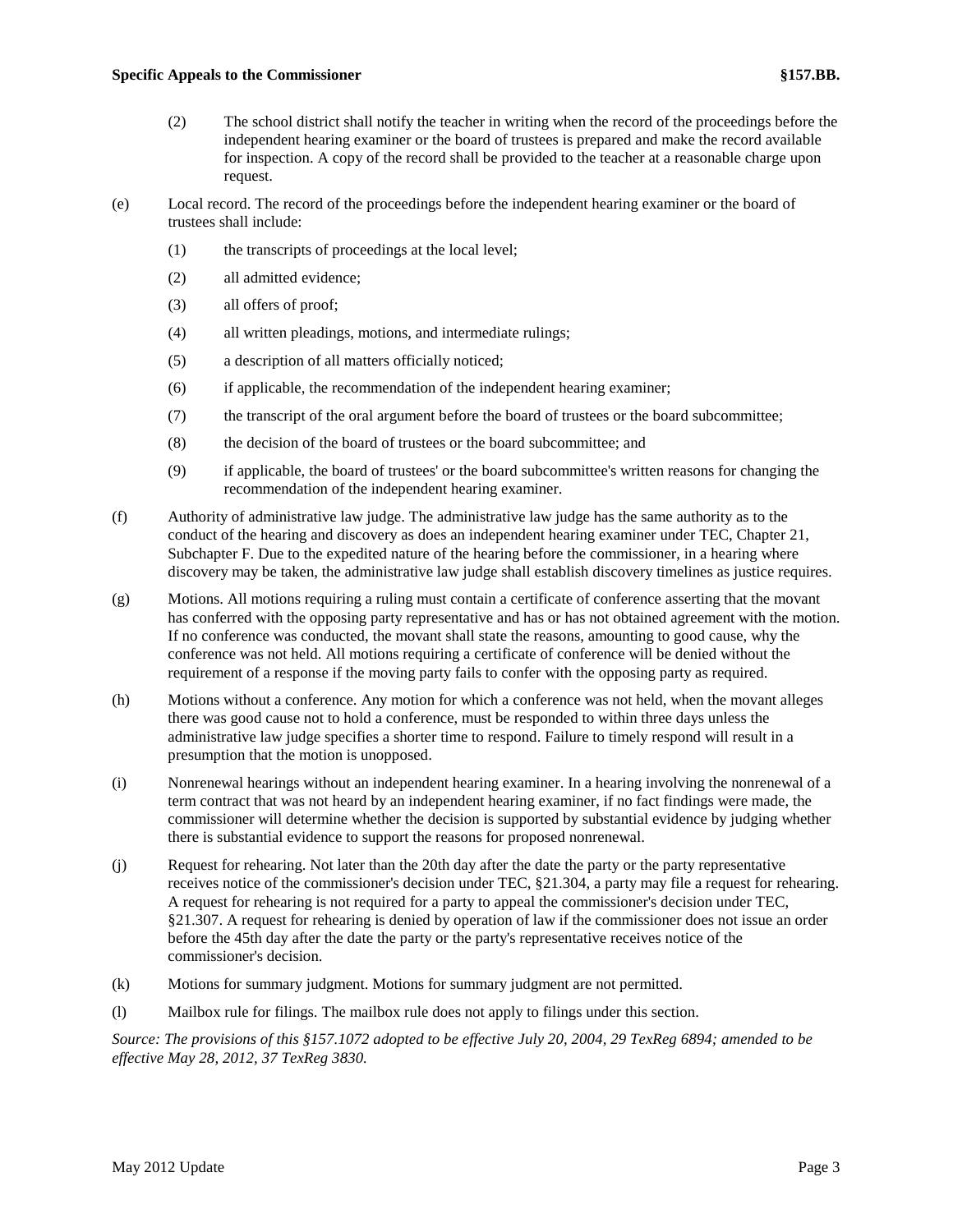- (2) The school district shall notify the teacher in writing when the record of the proceedings before the independent hearing examiner or the board of trustees is prepared and make the record available for inspection. A copy of the record shall be provided to the teacher at a reasonable charge upon request.
- (e) Local record. The record of the proceedings before the independent hearing examiner or the board of trustees shall include:
	- (1) the transcripts of proceedings at the local level;
	- (2) all admitted evidence;
	- (3) all offers of proof;
	- (4) all written pleadings, motions, and intermediate rulings;
	- (5) a description of all matters officially noticed;
	- (6) if applicable, the recommendation of the independent hearing examiner;
	- (7) the transcript of the oral argument before the board of trustees or the board subcommittee;
	- (8) the decision of the board of trustees or the board subcommittee; and
	- (9) if applicable, the board of trustees' or the board subcommittee's written reasons for changing the recommendation of the independent hearing examiner.
- (f) Authority of administrative law judge. The administrative law judge has the same authority as to the conduct of the hearing and discovery as does an independent hearing examiner under TEC, Chapter 21, Subchapter F. Due to the expedited nature of the hearing before the commissioner, in a hearing where discovery may be taken, the administrative law judge shall establish discovery timelines as justice requires.
- (g) Motions. All motions requiring a ruling must contain a certificate of conference asserting that the movant has conferred with the opposing party representative and has or has not obtained agreement with the motion. If no conference was conducted, the movant shall state the reasons, amounting to good cause, why the conference was not held. All motions requiring a certificate of conference will be denied without the requirement of a response if the moving party fails to confer with the opposing party as required.
- (h) Motions without a conference. Any motion for which a conference was not held, when the movant alleges there was good cause not to hold a conference, must be responded to within three days unless the administrative law judge specifies a shorter time to respond. Failure to timely respond will result in a presumption that the motion is unopposed.
- (i) Nonrenewal hearings without an independent hearing examiner. In a hearing involving the nonrenewal of a term contract that was not heard by an independent hearing examiner, if no fact findings were made, the commissioner will determine whether the decision is supported by substantial evidence by judging whether there is substantial evidence to support the reasons for proposed nonrenewal.
- (j) Request for rehearing. Not later than the 20th day after the date the party or the party representative receives notice of the commissioner's decision under TEC, §21.304, a party may file a request for rehearing. A request for rehearing is not required for a party to appeal the commissioner's decision under TEC, §21.307. A request for rehearing is denied by operation of law if the commissioner does not issue an order before the 45th day after the date the party or the party's representative receives notice of the commissioner's decision.
- (k) Motions for summary judgment. Motions for summary judgment are not permitted.
- (l) Mailbox rule for filings. The mailbox rule does not apply to filings under this section.

*Source: The provisions of this §157.1072 adopted to be effective July 20, 2004, 29 TexReg 6894; amended to be effective May 28, 2012, 37 TexReg 3830.*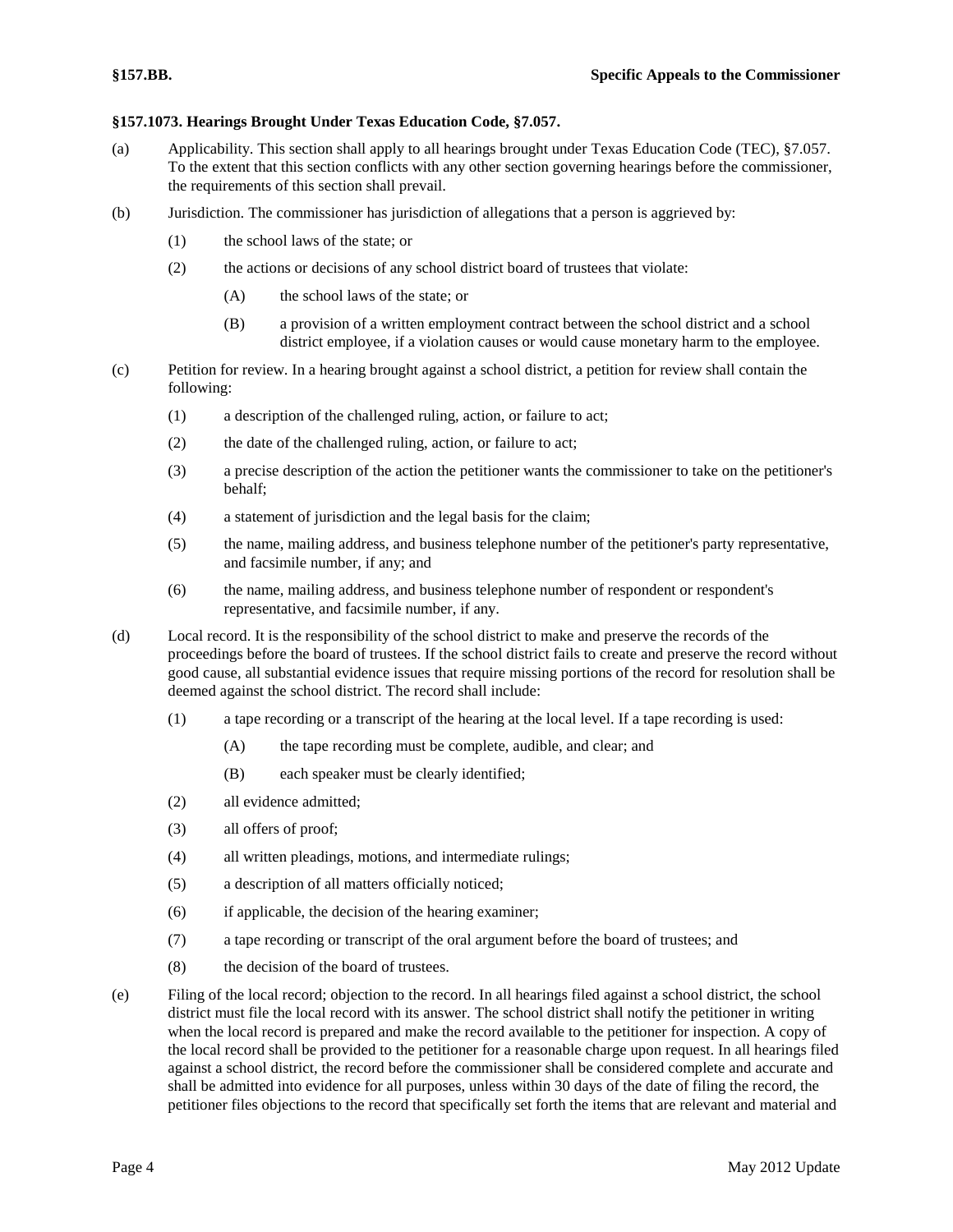### **§157.1073. Hearings Brought Under Texas Education Code, §7.057.**

- (a) Applicability. This section shall apply to all hearings brought under Texas Education Code (TEC), §7.057. To the extent that this section conflicts with any other section governing hearings before the commissioner, the requirements of this section shall prevail.
- (b) Jurisdiction. The commissioner has jurisdiction of allegations that a person is aggrieved by:
	- (1) the school laws of the state; or
	- (2) the actions or decisions of any school district board of trustees that violate:
		- (A) the school laws of the state; or
		- (B) a provision of a written employment contract between the school district and a school district employee, if a violation causes or would cause monetary harm to the employee.
- (c) Petition for review. In a hearing brought against a school district, a petition for review shall contain the following:
	- (1) a description of the challenged ruling, action, or failure to act;
	- (2) the date of the challenged ruling, action, or failure to act;
	- (3) a precise description of the action the petitioner wants the commissioner to take on the petitioner's behalf;
	- (4) a statement of jurisdiction and the legal basis for the claim;
	- (5) the name, mailing address, and business telephone number of the petitioner's party representative, and facsimile number, if any; and
	- (6) the name, mailing address, and business telephone number of respondent or respondent's representative, and facsimile number, if any.
- (d) Local record. It is the responsibility of the school district to make and preserve the records of the proceedings before the board of trustees. If the school district fails to create and preserve the record without good cause, all substantial evidence issues that require missing portions of the record for resolution shall be deemed against the school district. The record shall include:
	- (1) a tape recording or a transcript of the hearing at the local level. If a tape recording is used:
		- (A) the tape recording must be complete, audible, and clear; and
		- (B) each speaker must be clearly identified;
	- (2) all evidence admitted;
	- (3) all offers of proof;
	- (4) all written pleadings, motions, and intermediate rulings;
	- (5) a description of all matters officially noticed;
	- (6) if applicable, the decision of the hearing examiner;
	- (7) a tape recording or transcript of the oral argument before the board of trustees; and
	- (8) the decision of the board of trustees.
- (e) Filing of the local record; objection to the record. In all hearings filed against a school district, the school district must file the local record with its answer. The school district shall notify the petitioner in writing when the local record is prepared and make the record available to the petitioner for inspection. A copy of the local record shall be provided to the petitioner for a reasonable charge upon request. In all hearings filed against a school district, the record before the commissioner shall be considered complete and accurate and shall be admitted into evidence for all purposes, unless within 30 days of the date of filing the record, the petitioner files objections to the record that specifically set forth the items that are relevant and material and